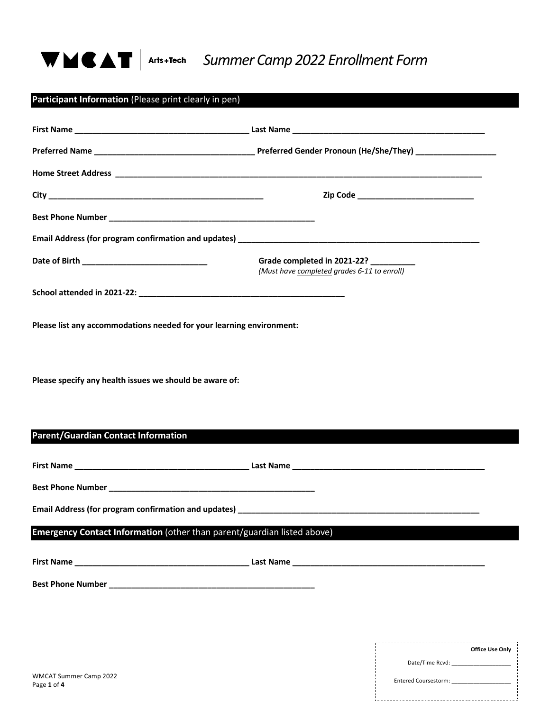

# *Summer Camp 2022 Enrollment Form*

|                                                                         | Grade completed in 2021-22?<br>(Must have completed grades 6-11 to enroll)                                                                                                                                                     |
|-------------------------------------------------------------------------|--------------------------------------------------------------------------------------------------------------------------------------------------------------------------------------------------------------------------------|
|                                                                         |                                                                                                                                                                                                                                |
| Please list any accommodations needed for your learning environment:    |                                                                                                                                                                                                                                |
|                                                                         |                                                                                                                                                                                                                                |
| Please specify any health issues we should be aware of:                 |                                                                                                                                                                                                                                |
|                                                                         |                                                                                                                                                                                                                                |
|                                                                         |                                                                                                                                                                                                                                |
| <b>Parent/Guardian Contact Information</b>                              |                                                                                                                                                                                                                                |
|                                                                         |                                                                                                                                                                                                                                |
|                                                                         |                                                                                                                                                                                                                                |
|                                                                         | Email Address (for program confirmation and updates) example and the state of the state of the state of the state of the state of the state of the state of the state of the state of the state of the state of the state of t |
|                                                                         |                                                                                                                                                                                                                                |
|                                                                         |                                                                                                                                                                                                                                |
|                                                                         |                                                                                                                                                                                                                                |
|                                                                         |                                                                                                                                                                                                                                |
| Emergency Contact Information (other than parent/guardian listed above) |                                                                                                                                                                                                                                |

Entered Coursestorm: \_\_\_\_\_\_\_\_\_\_\_\_\_\_\_\_\_\_\_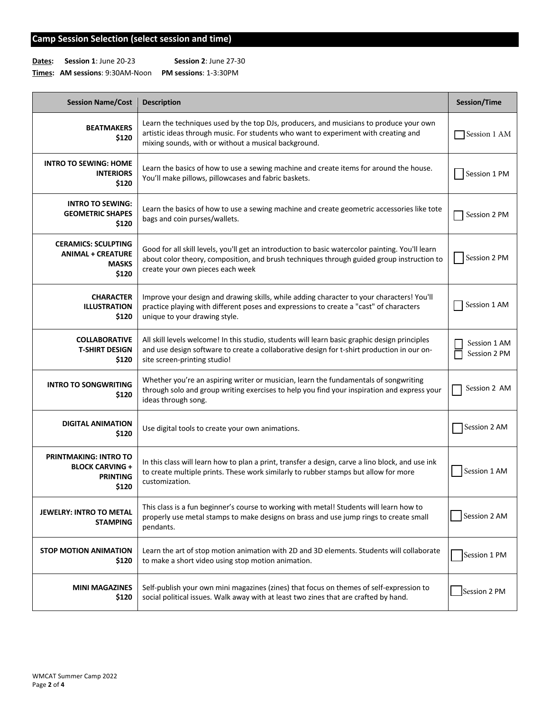### **Camp Session Selection (select session and time)**

**Dates: Session 1**: June 20-23 **Session 2**: June 27-30

**Times: AM sessions**: 9:30AM-Noon **PM sessions**: 1-3:30PM

| <b>Session Name/Cost</b>                                                           | <b>Description</b>                                                                                                                                                                                                                    | Session/Time                 |
|------------------------------------------------------------------------------------|---------------------------------------------------------------------------------------------------------------------------------------------------------------------------------------------------------------------------------------|------------------------------|
| <b>BEATMAKERS</b><br>\$120                                                         | Learn the techniques used by the top DJs, producers, and musicians to produce your own<br>artistic ideas through music. For students who want to experiment with creating and<br>mixing sounds, with or without a musical background. | Session 1 AM                 |
| <b>INTRO TO SEWING: HOME</b><br><b>INTERIORS</b><br>\$120                          | Learn the basics of how to use a sewing machine and create items for around the house.<br>You'll make pillows, pillowcases and fabric baskets.                                                                                        | Session 1 PM                 |
| <b>INTRO TO SEWING:</b><br><b>GEOMETRIC SHAPES</b><br>\$120                        | Learn the basics of how to use a sewing machine and create geometric accessories like tote<br>bags and coin purses/wallets.                                                                                                           | Session 2 PM                 |
| <b>CERAMICS: SCULPTING</b><br><b>ANIMAL + CREATURE</b><br><b>MASKS</b><br>\$120    | Good for all skill levels, you'll get an introduction to basic watercolor painting. You'll learn<br>about color theory, composition, and brush techniques through guided group instruction to<br>create your own pieces each week     | Session 2 PM                 |
| <b>CHARACTER</b><br><b>ILLUSTRATION</b><br>\$120                                   | Improve your design and drawing skills, while adding character to your characters! You'll<br>practice playing with different poses and expressions to create a "cast" of characters<br>unique to your drawing style.                  | Session 1 AM                 |
| <b>COLLABORATIVE</b><br><b>T-SHIRT DESIGN</b><br>\$120                             | All skill levels welcome! In this studio, students will learn basic graphic design principles<br>and use design software to create a collaborative design for t-shirt production in our on-<br>site screen-printing studio!           | Session 1 AM<br>Session 2 PM |
| <b>INTRO TO SONGWRITING</b><br>\$120                                               | Whether you're an aspiring writer or musician, learn the fundamentals of songwriting<br>through solo and group writing exercises to help you find your inspiration and express your<br>ideas through song.                            | Session 2 AM                 |
| <b>DIGITAL ANIMATION</b><br>\$120                                                  | Use digital tools to create your own animations.                                                                                                                                                                                      | Session 2 AM                 |
| <b>PRINTMAKING: INTRO TO</b><br><b>BLOCK CARVING +</b><br><b>PRINTING</b><br>\$120 | In this class will learn how to plan a print, transfer a design, carve a lino block, and use ink<br>to create multiple prints. These work similarly to rubber stamps but allow for more<br>customization.                             | Session 1 AM                 |
| <b>JEWELRY: INTRO TO METAL</b><br><b>STAMPING</b>                                  | This class is a fun beginner's course to working with metal! Students will learn how to<br>properly use metal stamps to make designs on brass and use jump rings to create small<br>pendants.                                         | Session 2 AM                 |
| <b>STOP MOTION ANIMATION</b><br>\$120                                              | Learn the art of stop motion animation with 2D and 3D elements. Students will collaborate<br>to make a short video using stop motion animation.                                                                                       | Session 1 PM                 |
| <b>MINI MAGAZINES</b><br>\$120                                                     | Self-publish your own mini magazines (zines) that focus on themes of self-expression to<br>social political issues. Walk away with at least two zines that are crafted by hand.                                                       | Session 2 PM                 |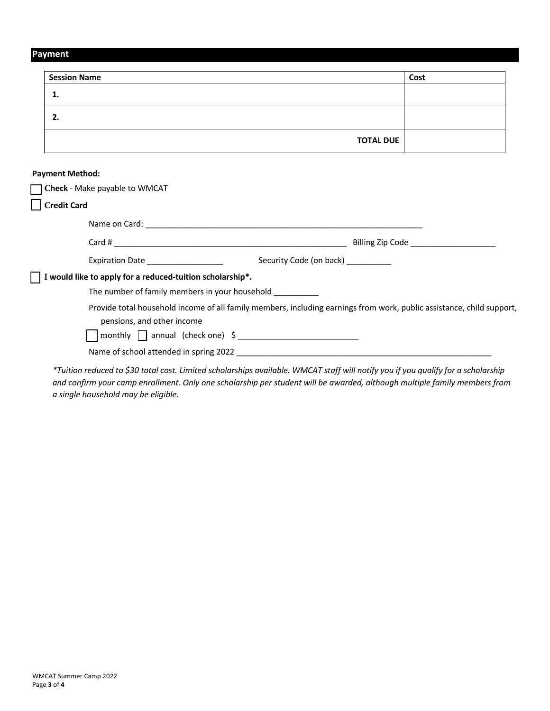## **Payment**

| <b>Session Name</b>                                                                                                                                 |                  | Cost |
|-----------------------------------------------------------------------------------------------------------------------------------------------------|------------------|------|
| 1.                                                                                                                                                  |                  |      |
| 2.                                                                                                                                                  |                  |      |
|                                                                                                                                                     | <b>TOTAL DUE</b> |      |
| <b>Payment Method:</b>                                                                                                                              |                  |      |
| Check - Make payable to WMCAT                                                                                                                       |                  |      |
| <b>Credit Card</b>                                                                                                                                  |                  |      |
|                                                                                                                                                     |                  |      |
|                                                                                                                                                     |                  |      |
| Expiration Date ______________________<br>Security Code (on back)                                                                                   |                  |      |
| I would like to apply for a reduced-tuition scholarship*.<br>The number of family members in your household ____________                            |                  |      |
| Provide total household income of all family members, including earnings from work, public assistance, child support,<br>pensions, and other income |                  |      |
| $\Box$ monthly $\Box$ annual (check one) $\Diamond$                                                                                                 |                  |      |
|                                                                                                                                                     |                  |      |

*and confirm your camp enrollment. Only one scholarship per student will be awarded, although multiple family members from a single household may be eligible.*